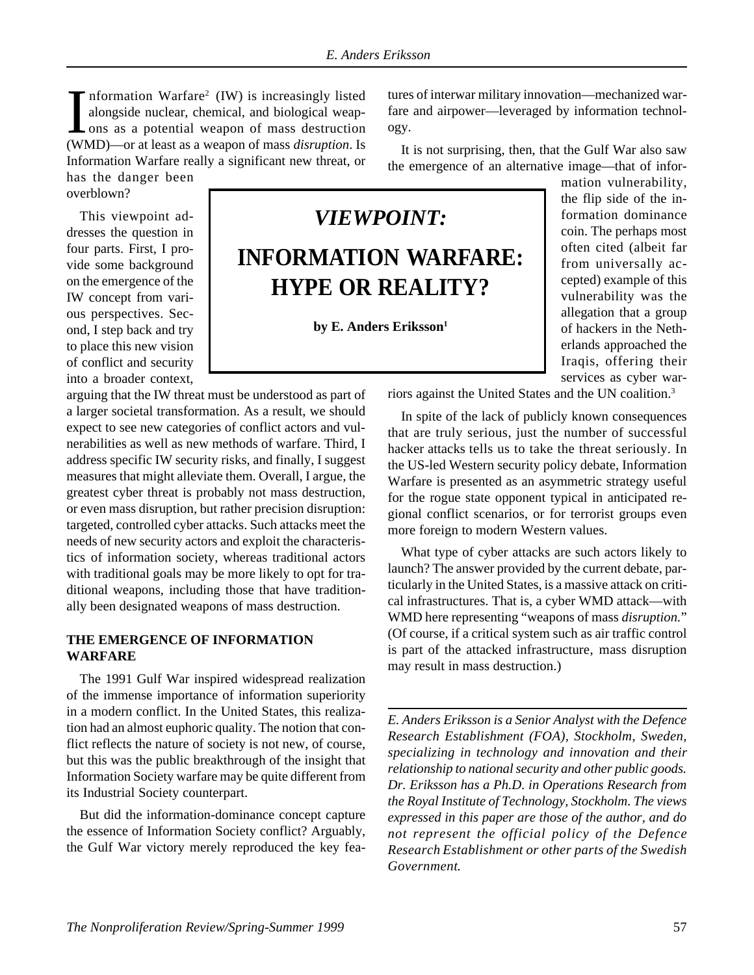Information Warfare<sup>2</sup> (IW) is increasingly listed alongside nuclear, chemical, and biological weapons as a potential weapon of mass destruction (WMD)—or at least as a weapon of mass *disruption*. Is Information Warfare<sup>2</sup> (IW) is increasingly listed alongside nuclear, chemical, and biological weapons as a potential weapon of mass destruction Information Warfare really a significant new threat, or has the danger been

overblown?

This viewpoint addresses the question in four parts. First, I provide some background on the emergence of the IW concept from various perspectives. Second, I step back and try to place this new vision of conflict and security into a broader context,

arguing that the IW threat must be understood as part of a larger societal transformation. As a result, we should expect to see new categories of conflict actors and vulnerabilities as well as new methods of warfare. Third, I address specific IW security risks, and finally, I suggest measures that might alleviate them. Overall, I argue, the greatest cyber threat is probably not mass destruction, or even mass disruption, but rather precision disruption: targeted, controlled cyber attacks. Such attacks meet the needs of new security actors and exploit the characteristics of information society, whereas traditional actors with traditional goals may be more likely to opt for traditional weapons, including those that have traditionally been designated weapons of mass destruction.

## **THE EMERGENCE OF INFORMATION WARFARE**

The 1991 Gulf War inspired widespread realization of the immense importance of information superiority in a modern conflict. In the United States, this realization had an almost euphoric quality. The notion that conflict reflects the nature of society is not new, of course, but this was the public breakthrough of the insight that Information Society warfare may be quite different from its Industrial Society counterpart.

But did the information-dominance concept capture the essence of Information Society conflict? Arguably, the Gulf War victory merely reproduced the key features of interwar military innovation—mechanized warfare and airpower—leveraged by information technology.

It is not surprising, then, that the Gulf War also saw the emergence of an alternative image—that of infor-

# *VIEWPOINT:* **INFORMATION WARFARE: HYPE OR REALITY?**

by E. Anders Eriksson<sup>1</sup>

mation vulnerability, the flip side of the information dominance coin. The perhaps most often cited (albeit far from universally accepted) example of this vulnerability was the allegation that a group of hackers in the Netherlands approached the Iraqis, offering their services as cyber war-

riors against the United States and the UN coalition.3

In spite of the lack of publicly known consequences that are truly serious, just the number of successful hacker attacks tells us to take the threat seriously. In the US-led Western security policy debate, Information Warfare is presented as an asymmetric strategy useful for the rogue state opponent typical in anticipated regional conflict scenarios, or for terrorist groups even more foreign to modern Western values.

What type of cyber attacks are such actors likely to launch? The answer provided by the current debate, particularly in the United States, is a massive attack on critical infrastructures. That is, a cyber WMD attack—with WMD here representing "weapons of mass *disruption.*" (Of course, if a critical system such as air traffic control is part of the attacked infrastructure, mass disruption may result in mass destruction.)

*E. Anders Eriksson is a Senior Analyst with the Defence Research Establishment (FOA), Stockholm, Sweden, specializing in technology and innovation and their relationship to national security and other public goods. Dr. Eriksson has a Ph.D. in Operations Research from the Royal Institute of Technology, Stockholm. The views expressed in this paper are those of the author, and do not represent the official policy of the Defence Research Establishment or other parts of the Swedish Government.*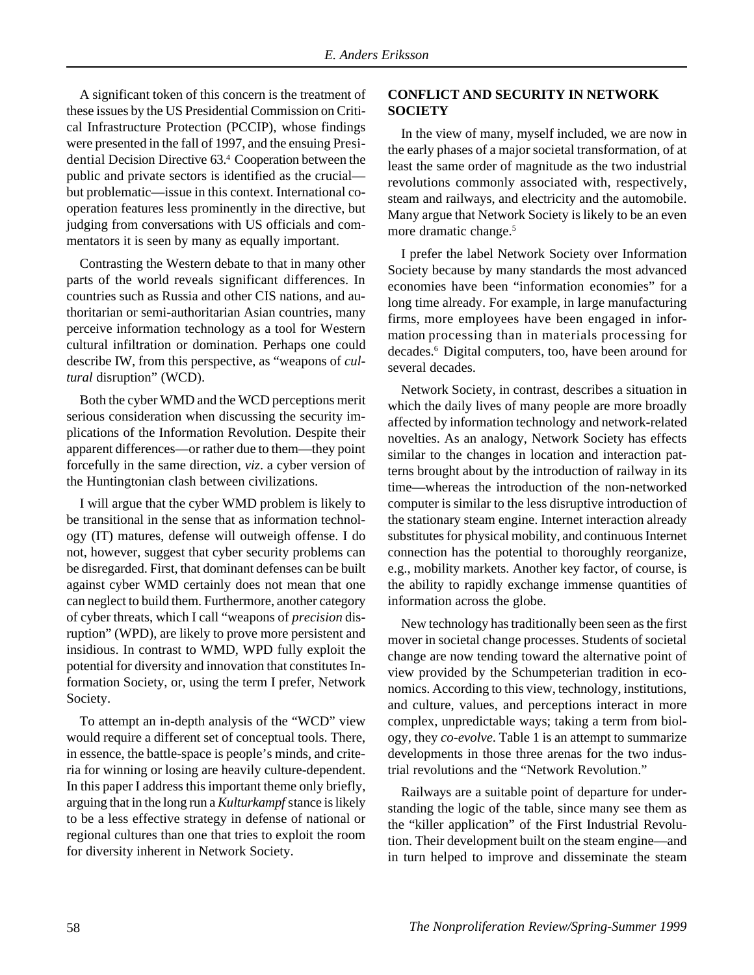A significant token of this concern is the treatment of these issues by the US Presidential Commission on Critical Infrastructure Protection (PCCIP), whose findings were presented in the fall of 1997, and the ensuing Presidential Decision Directive 63.4 Cooperation between the public and private sectors is identified as the crucial but problematic—issue in this context. International cooperation features less prominently in the directive, but judging from conversations with US officials and commentators it is seen by many as equally important.

Contrasting the Western debate to that in many other parts of the world reveals significant differences. In countries such as Russia and other CIS nations, and authoritarian or semi-authoritarian Asian countries, many perceive information technology as a tool for Western cultural infiltration or domination. Perhaps one could describe IW, from this perspective, as "weapons of *cultural* disruption" (WCD).

Both the cyber WMD and the WCD perceptions merit serious consideration when discussing the security implications of the Information Revolution. Despite their apparent differences—or rather due to them—they point forcefully in the same direction, *viz*. a cyber version of the Huntingtonian clash between civilizations.

I will argue that the cyber WMD problem is likely to be transitional in the sense that as information technology (IT) matures, defense will outweigh offense. I do not, however, suggest that cyber security problems can be disregarded. First, that dominant defenses can be built against cyber WMD certainly does not mean that one can neglect to build them. Furthermore, another category of cyber threats, which I call "weapons of *precision* disruption" (WPD), are likely to prove more persistent and insidious. In contrast to WMD, WPD fully exploit the potential for diversity and innovation that constitutes Information Society, or, using the term I prefer, Network Society.

To attempt an in-depth analysis of the "WCD" view would require a different set of conceptual tools. There, in essence, the battle-space is people's minds, and criteria for winning or losing are heavily culture-dependent. In this paper I address this important theme only briefly, arguing that in the long run a *Kulturkampf* stance is likely to be a less effective strategy in defense of national or regional cultures than one that tries to exploit the room for diversity inherent in Network Society.

#### **CONFLICT AND SECURITY IN NETWORK SOCIETY**

In the view of many, myself included, we are now in the early phases of a major societal transformation, of at least the same order of magnitude as the two industrial revolutions commonly associated with, respectively, steam and railways, and electricity and the automobile. Many argue that Network Society is likely to be an even more dramatic change.<sup>5</sup>

I prefer the label Network Society over Information Society because by many standards the most advanced economies have been "information economies" for a long time already. For example, in large manufacturing firms, more employees have been engaged in information processing than in materials processing for decades.6 Digital computers, too, have been around for several decades.

Network Society, in contrast, describes a situation in which the daily lives of many people are more broadly affected by information technology and network-related novelties. As an analogy, Network Society has effects similar to the changes in location and interaction patterns brought about by the introduction of railway in its time—whereas the introduction of the non-networked computer is similar to the less disruptive introduction of the stationary steam engine. Internet interaction already substitutes for physical mobility, and continuous Internet connection has the potential to thoroughly reorganize, e.g., mobility markets. Another key factor, of course, is the ability to rapidly exchange immense quantities of information across the globe.

New technology has traditionally been seen as the first mover in societal change processes. Students of societal change are now tending toward the alternative point of view provided by the Schumpeterian tradition in economics. According to this view, technology, institutions, and culture, values, and perceptions interact in more complex, unpredictable ways; taking a term from biology, they *co-evolve*. Table 1 is an attempt to summarize developments in those three arenas for the two industrial revolutions and the "Network Revolution."

Railways are a suitable point of departure for understanding the logic of the table, since many see them as the "killer application" of the First Industrial Revolution. Their development built on the steam engine—and in turn helped to improve and disseminate the steam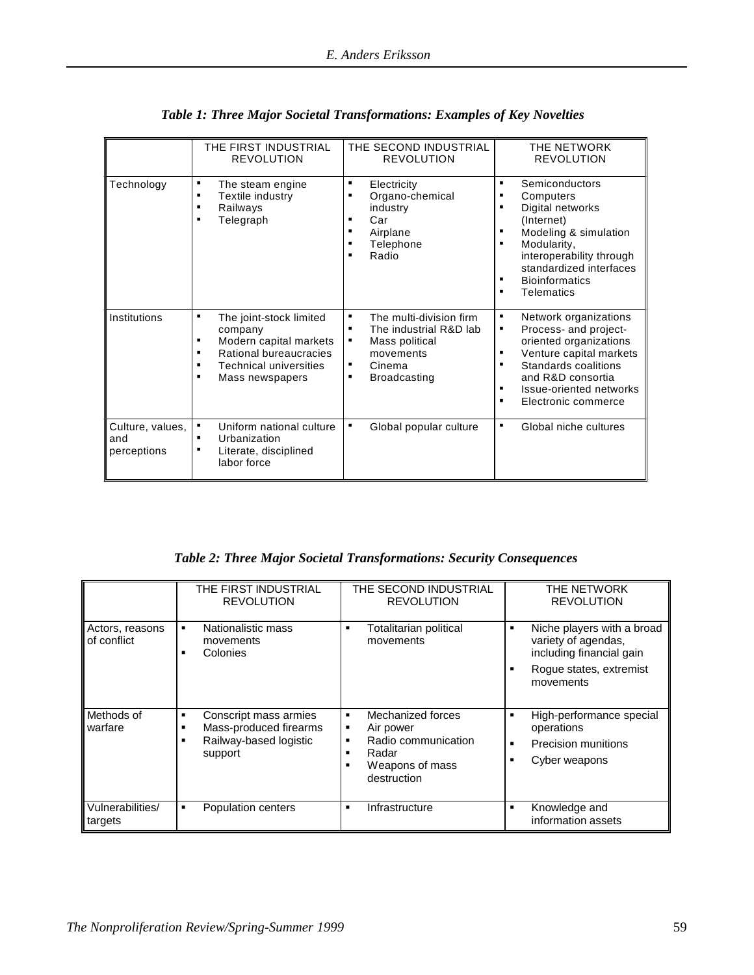|                                        | THE FIRST INDUSTRIAL<br><b>REVOLUTION</b>                                                                                                                           | THE SECOND INDUSTRIAL<br><b>REVOLUTION</b>                                                                                                              | THE NETWORK<br><b>REVOLUTION</b>                                                                                                                                                                                                                           |
|----------------------------------------|---------------------------------------------------------------------------------------------------------------------------------------------------------------------|---------------------------------------------------------------------------------------------------------------------------------------------------------|------------------------------------------------------------------------------------------------------------------------------------------------------------------------------------------------------------------------------------------------------------|
| Technology                             | ٠<br>The steam engine<br>Textile industry<br>٠<br>Railways<br>п<br>Telegraph<br>п                                                                                   | ٠<br>Electricity<br>Organo-chemical<br>٠<br>industry<br>Car<br>$\blacksquare$<br>Airplane<br>٠<br>Telephone<br>Radio<br>п                               | $\blacksquare$<br>Semiconductors<br>٠<br>Computers<br>Digital networks<br>٠<br>(Internet)<br>Modeling & simulation<br>٠<br>Modularity,<br>п<br>interoperability through<br>standardized interfaces<br><b>Bioinformatics</b><br>٠<br><b>Telematics</b><br>٠ |
| Institutions                           | The joint-stock limited<br>٠<br>company<br>Modern capital markets<br>п<br>Rational bureaucracies<br>п<br><b>Technical universities</b><br>٠<br>٠<br>Mass newspapers | The multi-division firm<br>٠<br>The industrial R&D lab<br>$\blacksquare$<br>Mass political<br>٠<br>movements<br>Cinema<br>٠<br><b>Broadcasting</b><br>٠ | Network organizations<br>٠<br>Process- and project-<br>٠<br>oriented organizations<br>Venture capital markets<br>г<br>Standards coalitions<br>٠<br>and R&D consortia<br>Issue-oriented networks<br>п<br>Electronic commerce<br>٠                           |
| Culture, values,<br>and<br>perceptions | Uniform national culture<br>٠<br>Urbanization<br>Literate, disciplined<br>٠<br>labor force                                                                          | Global popular culture<br>٠                                                                                                                             | Global niche cultures<br>٠                                                                                                                                                                                                                                 |

*Table 1: Three Major Societal Transformations: Examples of Key Novelties*

*Table 2: Three Major Societal Transformations: Security Consequences*

|                                | THE FIRST INDUSTRIAL<br><b>REVOLUTION</b>                                                 | THE SECOND INDUSTRIAL<br><b>REVOLUTION</b>                                                                                   | THE NETWORK<br><b>REVOLUTION</b>                                                                                           |
|--------------------------------|-------------------------------------------------------------------------------------------|------------------------------------------------------------------------------------------------------------------------------|----------------------------------------------------------------------------------------------------------------------------|
| Actors, reasons<br>of conflict | Nationalistic mass<br>٠<br>movements<br>Colonies                                          | Totalitarian political<br>$\blacksquare$<br>movements                                                                        | Niche players with a broad<br>п<br>variety of agendas,<br>including financial gain<br>Rogue states, extremist<br>movements |
| Methods of<br>warfare          | Conscript mass armies<br>٠<br>Mass-produced firearms<br>Railway-based logistic<br>support | Mechanized forces<br>$\blacksquare$<br>Air power<br>٠<br>Radio communication<br>٠<br>Radar<br>Weapons of mass<br>destruction | High-performance special<br>٠<br>operations<br>Precision munitions<br>٠<br>Cyber weapons                                   |
| Vulnerabilities/<br>targets    | Population centers<br>٠                                                                   | Infrastructure<br>$\blacksquare$                                                                                             | Knowledge and<br>п<br>information assets                                                                                   |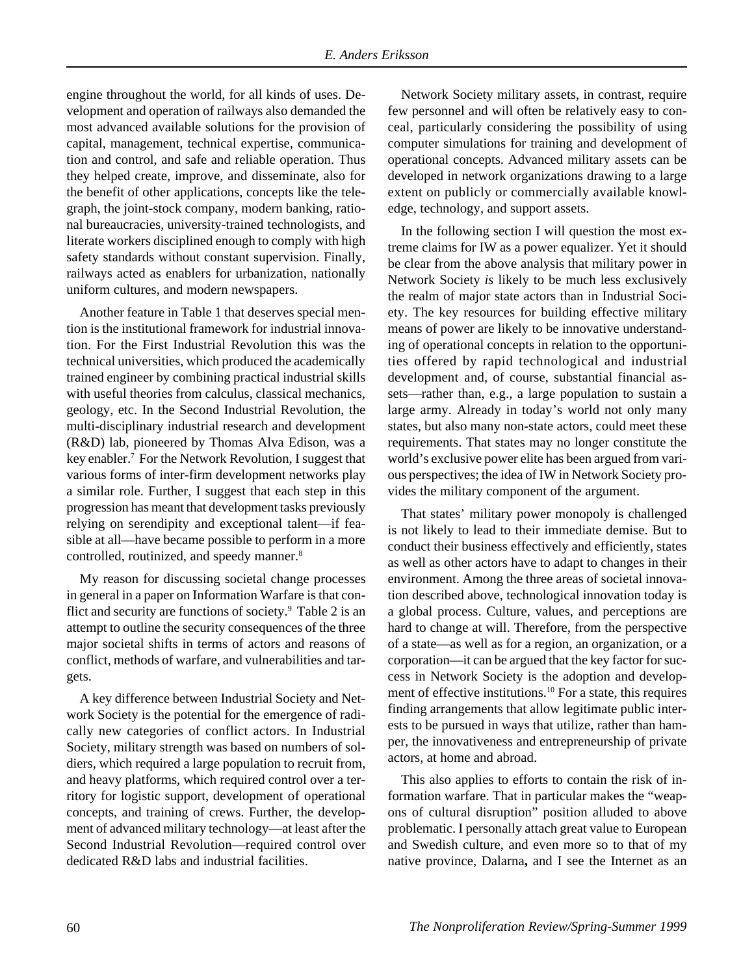engine throughout the world, for all kinds of uses. Development and operation of railways also demanded the most advanced available solutions for the provision of capital, management, technical expertise, communication and control, and safe and reliable operation. Thus they helped create, improve, and disseminate, also for the benefit of other applications, concepts like the telegraph, the joint-stock company, modern banking, rational bureaucracies, university-trained technologists, and literate workers disciplined enough to comply with high safety standards without constant supervision. Finally, railways acted as enablers for urbanization, nationally uniform cultures, and modern newspapers.

Another feature in Table 1 that deserves special mention is the institutional framework for industrial innovation. For the First Industrial Revolution this was the technical universities, which produced the academically trained engineer by combining practical industrial skills with useful theories from calculus, classical mechanics, geology, etc. In the Second Industrial Revolution, the multi-disciplinary industrial research and development (R&D) lab, pioneered by Thomas Alva Edison, was a key enabler.7 For the Network Revolution, I suggest that various forms of inter-firm development networks play a similar role. Further, I suggest that each step in this progression has meant that development tasks previously relying on serendipity and exceptional talent—if feasible at all—have became possible to perform in a more controlled, routinized, and speedy manner.<sup>8</sup>

My reason for discussing societal change processes in general in a paper on Information Warfare is that conflict and security are functions of society.9 Table 2 is an attempt to outline the security consequences of the three major societal shifts in terms of actors and reasons of conflict, methods of warfare, and vulnerabilities and targets.

A key difference between Industrial Society and Network Society is the potential for the emergence of radically new categories of conflict actors. In Industrial Society, military strength was based on numbers of soldiers, which required a large population to recruit from, and heavy platforms, which required control over a territory for logistic support, development of operational concepts, and training of crews. Further, the development of advanced military technology—at least after the Second Industrial Revolution—required control over dedicated R&D labs and industrial facilities.

Network Society military assets, in contrast, require few personnel and will often be relatively easy to conceal, particularly considering the possibility of using computer simulations for training and development of operational concepts. Advanced military assets can be developed in network organizations drawing to a large extent on publicly or commercially available knowledge, technology, and support assets.

In the following section I will question the most extreme claims for IW as a power equalizer. Yet it should be clear from the above analysis that military power in Network Society *is* likely to be much less exclusively the realm of major state actors than in Industrial Society. The key resources for building effective military means of power are likely to be innovative understanding of operational concepts in relation to the opportunities offered by rapid technological and industrial development and, of course, substantial financial assets—rather than, e.g., a large population to sustain a large army. Already in today's world not only many states, but also many non-state actors, could meet these requirements. That states may no longer constitute the world's exclusive power elite has been argued from various perspectives; the idea of IW in Network Society provides the military component of the argument.

That states' military power monopoly is challenged is not likely to lead to their immediate demise. But to conduct their business effectively and efficiently, states as well as other actors have to adapt to changes in their environment. Among the three areas of societal innovation described above, technological innovation today is a global process. Culture, values, and perceptions are hard to change at will. Therefore, from the perspective of a state—as well as for a region, an organization, or a corporation—it can be argued that the key factor for success in Network Society is the adoption and development of effective institutions.10 For a state, this requires finding arrangements that allow legitimate public interests to be pursued in ways that utilize, rather than hamper, the innovativeness and entrepreneurship of private actors, at home and abroad.

This also applies to efforts to contain the risk of information warfare. That in particular makes the "weapons of cultural disruption" position alluded to above problematic. I personally attach great value to European and Swedish culture, and even more so to that of my native province, Dalarna**,** and I see the Internet as an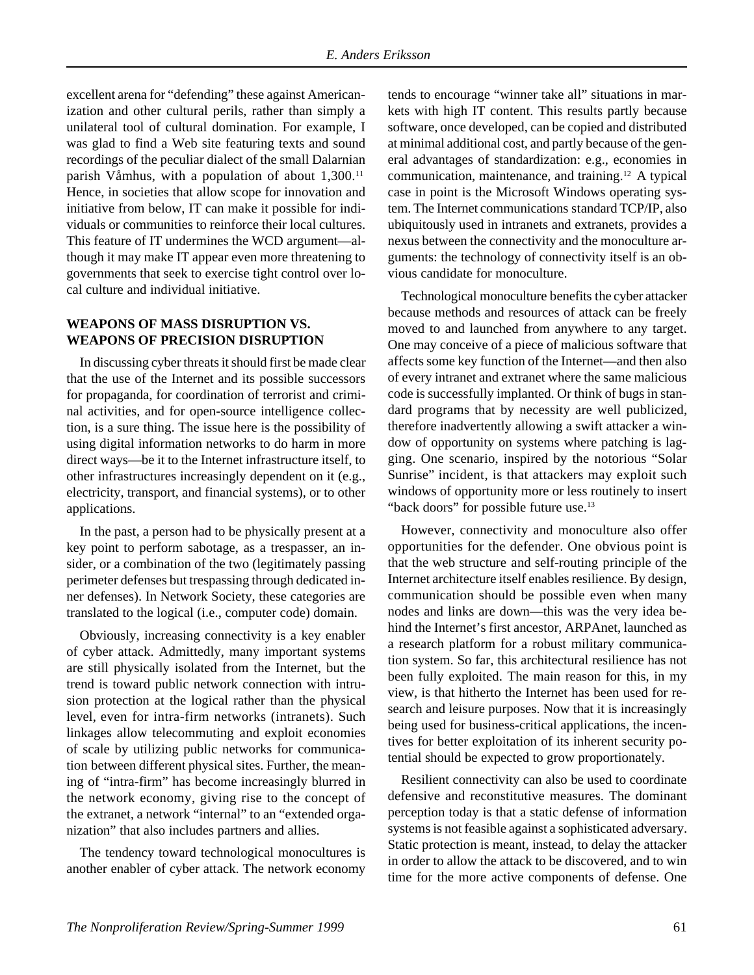excellent arena for "defending" these against Americanization and other cultural perils, rather than simply a unilateral tool of cultural domination. For example, I was glad to find a Web site featuring texts and sound recordings of the peculiar dialect of the small Dalarnian parish Våmhus, with a population of about 1,300.<sup>11</sup> Hence, in societies that allow scope for innovation and initiative from below, IT can make it possible for individuals or communities to reinforce their local cultures. This feature of IT undermines the WCD argument—although it may make IT appear even more threatening to governments that seek to exercise tight control over local culture and individual initiative.

#### **WEAPONS OF MASS DISRUPTION VS. WEAPONS OF PRECISION DISRUPTION**

In discussing cyber threats it should first be made clear that the use of the Internet and its possible successors for propaganda, for coordination of terrorist and criminal activities, and for open-source intelligence collection, is a sure thing. The issue here is the possibility of using digital information networks to do harm in more direct ways—be it to the Internet infrastructure itself, to other infrastructures increasingly dependent on it (e.g., electricity, transport, and financial systems), or to other applications.

In the past, a person had to be physically present at a key point to perform sabotage, as a trespasser, an insider, or a combination of the two (legitimately passing perimeter defenses but trespassing through dedicated inner defenses). In Network Society, these categories are translated to the logical (i.e., computer code) domain.

Obviously, increasing connectivity is a key enabler of cyber attack. Admittedly, many important systems are still physically isolated from the Internet, but the trend is toward public network connection with intrusion protection at the logical rather than the physical level, even for intra-firm networks (intranets). Such linkages allow telecommuting and exploit economies of scale by utilizing public networks for communication between different physical sites. Further, the meaning of "intra-firm" has become increasingly blurred in the network economy, giving rise to the concept of the extranet*,* a network "internal" to an "extended organization" that also includes partners and allies.

The tendency toward technological monocultures is another enabler of cyber attack. The network economy tends to encourage "winner take all" situations in markets with high IT content. This results partly because software, once developed, can be copied and distributed at minimal additional cost, and partly because of the general advantages of standardization: e.g., economies in communication, maintenance, and training.12 A typical case in point is the Microsoft Windows operating system. The Internet communications standard TCP/IP, also ubiquitously used in intranets and extranets, provides a nexus between the connectivity and the monoculture arguments: the technology of connectivity itself is an obvious candidate for monoculture.

Technological monoculture benefits the cyber attacker because methods and resources of attack can be freely moved to and launched from anywhere to any target. One may conceive of a piece of malicious software that affects some key function of the Internet—and then also of every intranet and extranet where the same malicious code is successfully implanted. Or think of bugs in standard programs that by necessity are well publicized, therefore inadvertently allowing a swift attacker a window of opportunity on systems where patching is lagging. One scenario, inspired by the notorious "Solar Sunrise" incident, is that attackers may exploit such windows of opportunity more or less routinely to insert "back doors" for possible future use.<sup>13</sup>

However, connectivity and monoculture also offer opportunities for the defender. One obvious point is that the web structure and self-routing principle of the Internet architecture itself enables resilience. By design, communication should be possible even when many nodes and links are down—this was the very idea behind the Internet's first ancestor, ARPAnet, launched as a research platform for a robust military communication system. So far, this architectural resilience has not been fully exploited. The main reason for this, in my view, is that hitherto the Internet has been used for research and leisure purposes. Now that it is increasingly being used for business-critical applications, the incentives for better exploitation of its inherent security potential should be expected to grow proportionately.

Resilient connectivity can also be used to coordinate defensive and reconstitutive measures. The dominant perception today is that a static defense of information systems is not feasible against a sophisticated adversary. Static protection is meant, instead, to delay the attacker in order to allow the attack to be discovered, and to win time for the more active components of defense. One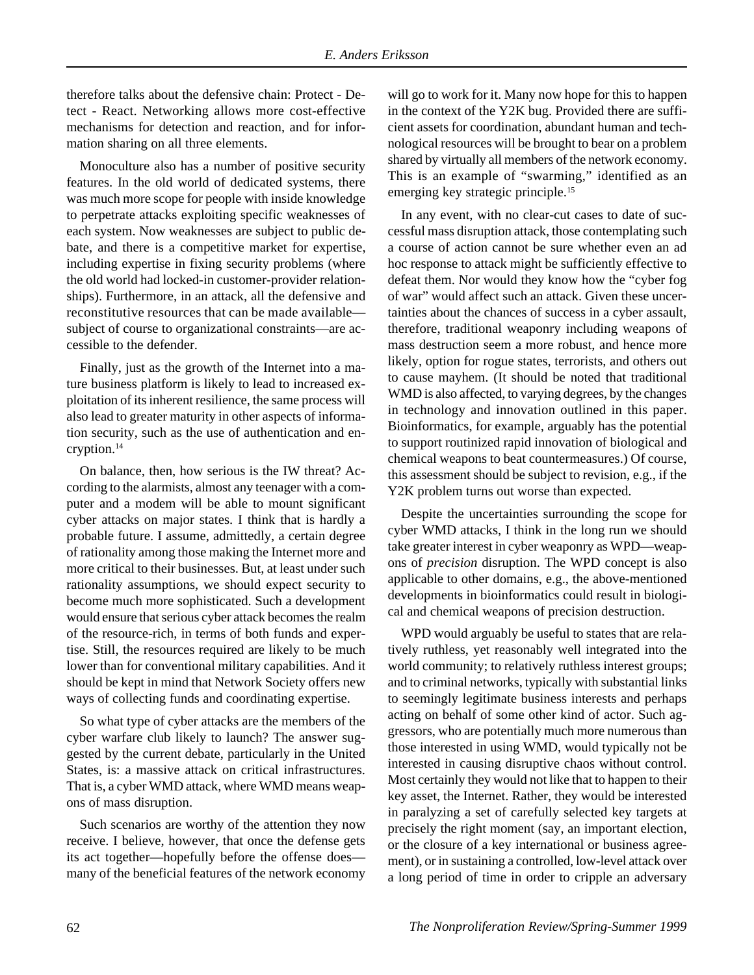therefore talks about the defensive chain: Protect - Detect - React. Networking allows more cost-effective mechanisms for detection and reaction, and for information sharing on all three elements.

Monoculture also has a number of positive security features. In the old world of dedicated systems, there was much more scope for people with inside knowledge to perpetrate attacks exploiting specific weaknesses of each system. Now weaknesses are subject to public debate, and there is a competitive market for expertise, including expertise in fixing security problems (where the old world had locked-in customer-provider relationships). Furthermore, in an attack, all the defensive and reconstitutive resources that can be made available subject of course to organizational constraints—are accessible to the defender.

Finally, just as the growth of the Internet into a mature business platform is likely to lead to increased exploitation of its inherent resilience, the same process will also lead to greater maturity in other aspects of information security, such as the use of authentication and encryption.14

On balance, then, how serious is the IW threat? According to the alarmists, almost any teenager with a computer and a modem will be able to mount significant cyber attacks on major states. I think that is hardly a probable future. I assume, admittedly, a certain degree of rationality among those making the Internet more and more critical to their businesses. But, at least under such rationality assumptions, we should expect security to become much more sophisticated. Such a development would ensure that serious cyber attack becomes the realm of the resource-rich, in terms of both funds and expertise. Still, the resources required are likely to be much lower than for conventional military capabilities. And it should be kept in mind that Network Society offers new ways of collecting funds and coordinating expertise.

So what type of cyber attacks are the members of the cyber warfare club likely to launch? The answer suggested by the current debate, particularly in the United States, is: a massive attack on critical infrastructures. That is, a cyber WMD attack, where WMD means weapons of mass disruption.

Such scenarios are worthy of the attention they now receive. I believe, however, that once the defense gets its act together—hopefully before the offense does many of the beneficial features of the network economy will go to work for it. Many now hope for this to happen in the context of the Y2K bug. Provided there are sufficient assets for coordination, abundant human and technological resources will be brought to bear on a problem shared by virtually all members of the network economy. This is an example of "swarming," identified as an emerging key strategic principle.<sup>15</sup>

In any event, with no clear-cut cases to date of successful mass disruption attack, those contemplating such a course of action cannot be sure whether even an ad hoc response to attack might be sufficiently effective to defeat them. Nor would they know how the "cyber fog of war" would affect such an attack. Given these uncertainties about the chances of success in a cyber assault, therefore, traditional weaponry including weapons of mass destruction seem a more robust, and hence more likely, option for rogue states, terrorists, and others out to cause mayhem. (It should be noted that traditional WMD is also affected, to varying degrees, by the changes in technology and innovation outlined in this paper. Bioinformatics, for example, arguably has the potential to support routinized rapid innovation of biological and chemical weapons to beat countermeasures.) Of course, this assessment should be subject to revision, e.g., if the Y2K problem turns out worse than expected.

Despite the uncertainties surrounding the scope for cyber WMD attacks, I think in the long run we should take greater interest in cyber weaponry as WPD—weapons of *precision* disruption. The WPD concept is also applicable to other domains, e.g., the above-mentioned developments in bioinformatics could result in biological and chemical weapons of precision destruction.

WPD would arguably be useful to states that are relatively ruthless, yet reasonably well integrated into the world community; to relatively ruthless interest groups; and to criminal networks, typically with substantial links to seemingly legitimate business interests and perhaps acting on behalf of some other kind of actor. Such aggressors, who are potentially much more numerous than those interested in using WMD, would typically not be interested in causing disruptive chaos without control. Most certainly they would not like that to happen to their key asset, the Internet. Rather, they would be interested in paralyzing a set of carefully selected key targets at precisely the right moment (say, an important election, or the closure of a key international or business agreement), or in sustaining a controlled, low-level attack over a long period of time in order to cripple an adversary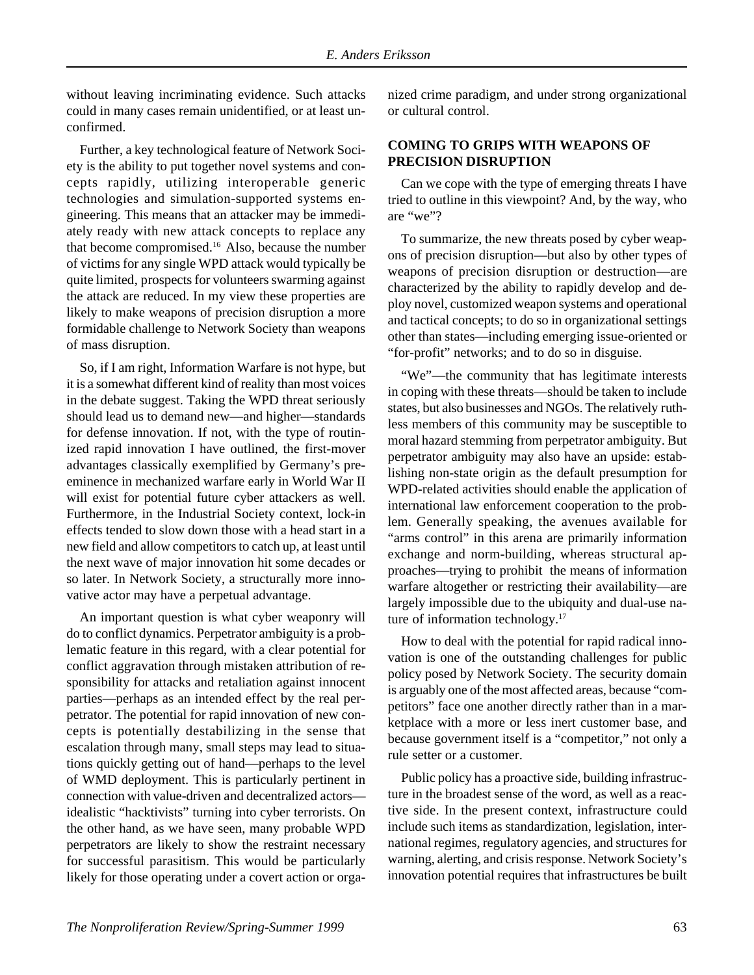without leaving incriminating evidence. Such attacks could in many cases remain unidentified, or at least unconfirmed.

Further, a key technological feature of Network Society is the ability to put together novel systems and concepts rapidly, utilizing interoperable generic technologies and simulation-supported systems engineering. This means that an attacker may be immediately ready with new attack concepts to replace any that become compromised.<sup>16</sup> Also, because the number of victims for any single WPD attack would typically be quite limited, prospects for volunteers swarming against the attack are reduced. In my view these properties are likely to make weapons of precision disruption a more formidable challenge to Network Society than weapons of mass disruption.

So, if I am right, Information Warfare is not hype, but it is a somewhat different kind of reality than most voices in the debate suggest. Taking the WPD threat seriously should lead us to demand new—and higher—standards for defense innovation. If not, with the type of routinized rapid innovation I have outlined, the first-mover advantages classically exemplified by Germany's preeminence in mechanized warfare early in World War II will exist for potential future cyber attackers as well. Furthermore, in the Industrial Society context, lock-in effects tended to slow down those with a head start in a new field and allow competitors to catch up, at least until the next wave of major innovation hit some decades or so later. In Network Society, a structurally more innovative actor may have a perpetual advantage.

An important question is what cyber weaponry will do to conflict dynamics. Perpetrator ambiguity is a problematic feature in this regard, with a clear potential for conflict aggravation through mistaken attribution of responsibility for attacks and retaliation against innocent parties—perhaps as an intended effect by the real perpetrator. The potential for rapid innovation of new concepts is potentially destabilizing in the sense that escalation through many, small steps may lead to situations quickly getting out of hand—perhaps to the level of WMD deployment. This is particularly pertinent in connection with value-driven and decentralized actors idealistic "hacktivists" turning into cyber terrorists. On the other hand, as we have seen, many probable WPD perpetrators are likely to show the restraint necessary for successful parasitism. This would be particularly likely for those operating under a covert action or organized crime paradigm, and under strong organizational or cultural control.

### **COMING TO GRIPS WITH WEAPONS OF PRECISION DISRUPTION**

Can we cope with the type of emerging threats I have tried to outline in this viewpoint? And, by the way, who are "we"?

To summarize, the new threats posed by cyber weapons of precision disruption—but also by other types of weapons of precision disruption or destruction—are characterized by the ability to rapidly develop and deploy novel, customized weapon systems and operational and tactical concepts; to do so in organizational settings other than states—including emerging issue-oriented or "for-profit" networks; and to do so in disguise.

"We"—the community that has legitimate interests in coping with these threats—should be taken to include states, but also businesses and NGOs. The relatively ruthless members of this community may be susceptible to moral hazard stemming from perpetrator ambiguity. But perpetrator ambiguity may also have an upside: establishing non-state origin as the default presumption for WPD-related activities should enable the application of international law enforcement cooperation to the problem. Generally speaking, the avenues available for "arms control" in this arena are primarily information exchange and norm-building, whereas structural approaches—trying to prohibit the means of information warfare altogether or restricting their availability—are largely impossible due to the ubiquity and dual-use nature of information technology.<sup>17</sup>

How to deal with the potential for rapid radical innovation is one of the outstanding challenges for public policy posed by Network Society. The security domain is arguably one of the most affected areas, because "competitors" face one another directly rather than in a marketplace with a more or less inert customer base, and because government itself is a "competitor," not only a rule setter or a customer.

Public policy has a proactive side, building infrastructure in the broadest sense of the word, as well as a reactive side. In the present context, infrastructure could include such items as standardization, legislation, international regimes, regulatory agencies, and structures for warning, alerting, and crisis response. Network Society's innovation potential requires that infrastructures be built